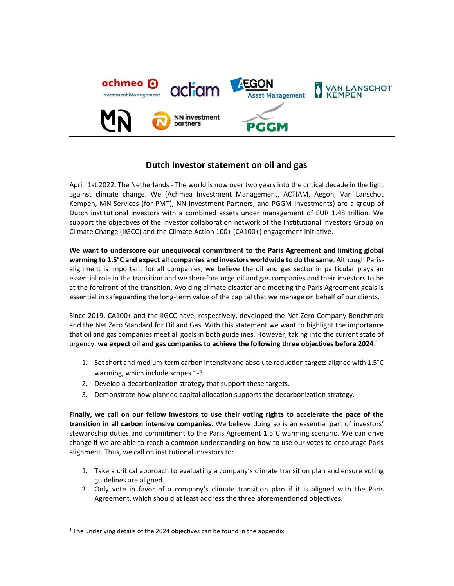

# Dutch investor statement on oil and gas

April, 1st 2022, The Netherlands - The world is now over two years into the critical decade in the fight against climate change. We (Achmea Investment Management, ACTIAM, Aegon, Van Lanschot Kempen, MN Services (for PMT), NN Investment Partners, and PGGM Investments) are a group of Dutch institutional investors with a combined assets under management of EUR 1.48 trillion. We support the objectives of the investor collaboration network of the Institutional Investors Group on Climate Change (IIGCC) and the Climate Action 100+ (CA100+) engagement initiative.

We want to underscore our unequivocal commitment to the Paris Agreement and limiting global warming to 1.5°C and expect all companies and investors worldwide to do the same. Although Parisalignment is important for all companies, we believe the oil and gas sector in particular plays an essential role in the transition and we therefore urge oil and gas companies and their investors to be at the forefront of the transition. Avoiding climate disaster and meeting the Paris Agreement goals is essential in safeguarding the long-term value of the capital that we manage on behalf of our clients.

Since 2019, CA100+ and the IIGCC have, respectively, developed the Net Zero Company Benchmark and the Net Zero Standard for Oil and Gas. With this statement we want to highlight the importance that oil and gas companies meet all goals in both guidelines. However, taking into the current state of urgency, we expect oil and gas companies to achieve the following three objectives before 2024.<sup>1</sup>

- 1. Set short and medium-term carbon intensity and absolute reduction targets aligned with 1.5°C warming, which include scopes 1-3.
- 2. Develop a decarbonization strategy that support these targets.
- 3. Demonstrate how planned capital allocation supports the decarbonization strategy.

Finally, we call on our fellow investors to use their voting rights to accelerate the pace of the transition in all carbon intensive companies. We believe doing so is an essential part of investors' stewardship duties and commitment to the Paris Agreement 1.5°C warming scenario. We can drive change if we are able to reach a common understanding on how to use our votes to encourage Paris alignment. Thus, we call on institutional investors to:

- 1. Take a critical approach to evaluating a company's climate transition plan and ensure voting guidelines are aligned.
- 2. Only vote in favor of a company's climate transition plan if it is aligned with the Paris Agreement, which should at least address the three aforementioned objectives.

<sup>&</sup>lt;sup>1</sup> The underlying details of the 2024 objectives can be found in the appendix.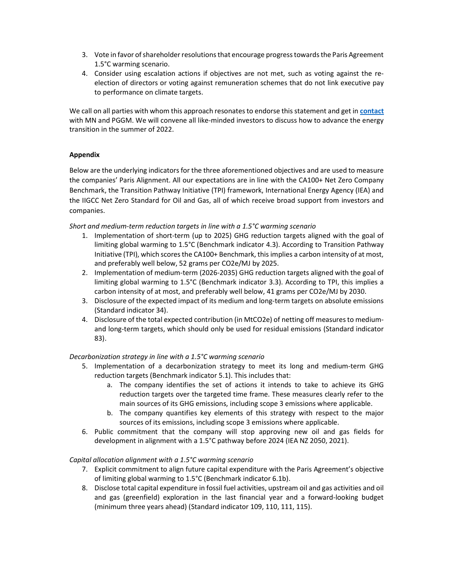- 3. Vote in favor of shareholder resolutions that encourage progress towards the Paris Agreement 1.5°C warming scenario.
- 4. Consider using escalation actions if objectives are not met, such as voting against the reelection of directors or voting against remuneration schemes that do not link executive pay to performance on climate targets.

We call on all parties with whom this approach resonates to endorse this statement and get in contact with MN and PGGM. We will convene all like-minded investors to discuss how to advance the energy transition in the summer of 2022.

# Appendix

Below are the underlying indicators for the three aforementioned objectives and are used to measure the companies' Paris Alignment. All our expectations are in line with the CA100+ Net Zero Company Benchmark, the Transition Pathway Initiative (TPI) framework, International Energy Agency (IEA) and the IIGCC Net Zero Standard for Oil and Gas, all of which receive broad support from investors and companies.

## Short and medium-term reduction targets in line with a 1.5°C warming scenario

- 1. Implementation of short-term (up to 2025) GHG reduction targets aligned with the goal of limiting global warming to 1.5°C (Benchmark indicator 4.3). According to Transition Pathway Initiative (TPI), which scores the CA100+ Benchmark, this implies a carbon intensity of at most, and preferably well below, 52 grams per CO2e/MJ by 2025.
- 2. Implementation of medium-term (2026-2035) GHG reduction targets aligned with the goal of limiting global warming to 1.5°C (Benchmark indicator 3.3). According to TPI, this implies a carbon intensity of at most, and preferably well below, 41 grams per CO2e/MJ by 2030.
- 3. Disclosure of the expected impact of its medium and long-term targets on absolute emissions (Standard indicator 34).
- 4. Disclosure of the total expected contribution (in MtCO2e) of netting off measures to mediumand long-term targets, which should only be used for residual emissions (Standard indicator 83).

# Decarbonization strategy in line with a 1.5°C warming scenario

- 5. Implementation of a decarbonization strategy to meet its long and medium-term GHG reduction targets (Benchmark indicator 5.1). This includes that:
	- a. The company identifies the set of actions it intends to take to achieve its GHG reduction targets over the targeted time frame. These measures clearly refer to the main sources of its GHG emissions, including scope 3 emissions where applicable.
	- b. The company quantifies key elements of this strategy with respect to the major sources of its emissions, including scope 3 emissions where applicable.
- 6. Public commitment that the company will stop approving new oil and gas fields for development in alignment with a 1.5°C pathway before 2024 (IEA NZ 2050, 2021).

# Capital allocation alignment with a 1.5°C warming scenario

- 7. Explicit commitment to align future capital expenditure with the Paris Agreement's objective of limiting global warming to 1.5°C (Benchmark indicator 6.1b).
- 8. Disclose total capital expenditure in fossil fuel activities, upstream oil and gas activities and oil and gas (greenfield) exploration in the last financial year and a forward-looking budget (minimum three years ahead) (Standard indicator 109, 110, 111, 115).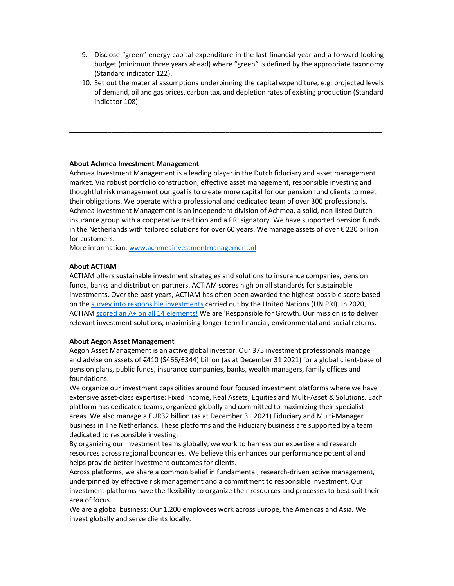- 9. Disclose "green" energy capital expenditure in the last financial year and a forward-looking budget (minimum three years ahead) where "green" is defined by the appropriate taxonomy (Standard indicator 122).
- 10. Set out the material assumptions underpinning the capital expenditure, e.g. projected levels of demand, oil and gas prices, carbon tax, and depletion rates of existing production (Standard indicator 108).

\_\_\_\_\_\_\_\_\_\_\_\_\_\_\_\_\_\_\_\_\_\_\_\_\_\_\_\_\_\_\_\_\_\_\_\_\_\_\_\_\_\_\_\_\_\_\_\_\_\_\_\_\_\_\_\_\_\_\_\_\_\_\_\_\_\_\_\_\_\_\_\_\_\_\_\_\_\_\_\_\_\_

#### About Achmea Investment Management

Achmea Investment Management is a leading player in the Dutch fiduciary and asset management market. Via robust portfolio construction, effective asset management, responsible investing and thoughtful risk management our goal is to create more capital for our pension fund clients to meet their obligations. We operate with a professional and dedicated team of over 300 professionals. Achmea Investment Management is an independent division of Achmea, a solid, non-listed Dutch insurance group with a cooperative tradition and a PRI signatory. We have supported pension funds in the Netherlands with tailored solutions for over 60 years. We manage assets of over € 220 billion for customers.

More information: www.achmeainvestmentmanagement.nl

## About ACTIAM

ACTIAM offers sustainable investment strategies and solutions to insurance companies, pension funds, banks and distribution partners. ACTIAM scores high on all standards for sustainable investments. Over the past years, ACTIAM has often been awarded the highest possible score based on the survey into responsible investments carried out by the United Nations (UN PRI). In 2020, ACTIAM scored an A+ on all 14 elements! We are 'Responsible for Growth. Our mission is to deliver relevant investment solutions, maximising longer-term financial, environmental and social returns.

#### About Aegon Asset Management

Aegon Asset Management is an active global investor. Our 375 investment professionals manage and advise on assets of €410 (\$466/£344) billion (as at December 31 2021) for a global client-base of pension plans, public funds, insurance companies, banks, wealth managers, family offices and foundations.

We organize our investment capabilities around four focused investment platforms where we have extensive asset-class expertise: Fixed Income, Real Assets, Equities and Multi-Asset & Solutions. Each platform has dedicated teams, organized globally and committed to maximizing their specialist areas. We also manage a EUR32 billion (as at December 31 2021) Fiduciary and Multi-Manager business in The Netherlands. These platforms and the Fiduciary business are supported by a team dedicated to responsible investing.

By organizing our investment teams globally, we work to harness our expertise and research resources across regional boundaries. We believe this enhances our performance potential and helps provide better investment outcomes for clients.

Across platforms, we share a common belief in fundamental, research-driven active management, underpinned by effective risk management and a commitment to responsible investment. Our investment platforms have the flexibility to organize their resources and processes to best suit their area of focus.

We are a global business: Our 1,200 employees work across Europe, the Americas and Asia. We invest globally and serve clients locally.